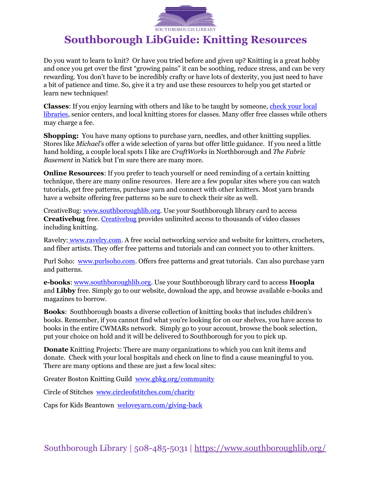

## **Southborough LibGuide: Knitting Resources**

Do you want to learn to knit? Or have you tried before and given up? Knitting is a great hobby and once you get over the first "growing pains" it can be soothing, reduce stress, and can be very rewarding. You don't have to be incredibly crafty or have lots of dexterity, you just need to have a bit of patience and time. So, give it a try and use these resources to help you get started or learn new techniques!

**Classes**: If you enjoy learning with others and like to be taught by someone, [check your local](https://www.mysouthborough.com/2022/06/15/learn-to-knit-at-the-library/)  [libraries,](https://www.mysouthborough.com/2022/06/15/learn-to-knit-at-the-library/) senior centers, and local knitting stores for classes. Many offer free classes while others may charge a fee.

**Shopping:** You have many options to purchase yarn, needles, and other knitting supplies. Stores like *Michael's* offer a wide selection of yarns but offer little guidance. If you need a little hand holding, a couple local spots I like are *CraftWorks* in Northborough and *The Fabric Basement* in Natick but I'm sure there are many more.

**Online Resources:** If you prefer to teach yourself or need reminding of a certain knitting technique, there are many online resources. Here are a few popular sites where you can watch tutorials, get free patterns, purchase yarn and connect with other knitters. Most yarn brands have a website offering free patterns so be sure to check their site as well.

CreativeBug: [www.southboroughlib.org.](http://www.southboroughlib.org/) Use your Southborough library card to access **Creativebug** free. [Creativebug](https://login.ezsz.ez.cwmars.org:3643/login?url=https://www.creativebug.com/lib/southboroughlib) provides unlimited access to thousands of video classes including knitting.

Ravelry: [www.ravelry.com.](http://www.ravelry.com/) A free social networking service and website for knitters, crocheters, and fiber artists. They offer free patterns and tutorials and can connect you to other knitters.

Purl Soho: [www.purlsoho.com.](http://www.purlsoho.com/) Offers free patterns and great tutorials. Can also purchase yarn and patterns.

**e-books**: [www.southboroughlib.org.](http://www.southboroughlib.org/) Use your Southborough library card to access **Hoopla** and **Libby** free. Simply go to our website, download the app, and browse available e-books and magazines to borrow.

**Books**: Southborough boasts a diverse collection of knitting books that includes children's books. Remember, if you cannot find what you're looking for on our shelves, you have access to books in the entire CWMARs network. Simply go to your account, browse the book selection, put your choice on hold and it will be delivered to Southborough for you to pick up.

**Donate** Knitting Projects: There are many organizations to which you can knit items and donate. Check with your local hospitals and check on line to find a cause meaningful to you. There are many options and these are just a few local sites:

Greater Boston Knitting Guild [www.gbkg.org/community](http://www.gbkg.org/community)

Circle of Stitches [www.circleofstitches.com/charity](http://www.circleofstitches.com/charity)

Caps for Kids Beantown [weloveyarn.com/giving-back](http://weloveyarn.com/giving-back/)

Southborough Library | 508-485-5031 | <https://www.southboroughlib.org/>